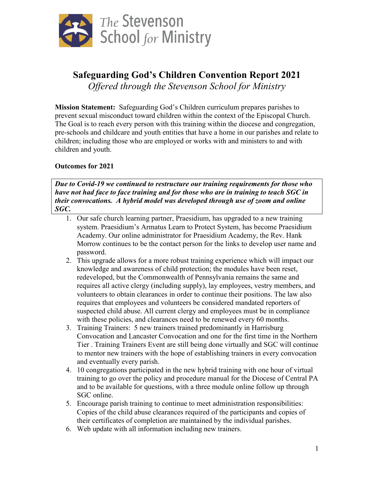

## **Safeguarding God's Children Convention Report 2021** *Offered through the Stevenson School for Ministry*

**Mission Statement:** Safeguarding God's Children curriculum prepares parishes to prevent sexual misconduct toward children within the context of the Episcopal Church. The Goal is to reach every person with this training within the diocese and congregation, pre-schools and childcare and youth entities that have a home in our parishes and relate to children; including those who are employed or works with and ministers to and with children and youth.

## **Outcomes for 2021**

*Due to Covid-19 we continued to restructure our training requirements for those who have not had face to face training and for those who are in training to teach SGC in their convocations. A hybrid model was developed through use of zoom and online SGC.*

- 1. Our safe church learning partner, Praesidium, has upgraded to a new training system. Praesidium's Armatus Learn to Protect System, has become Praesidium Academy. Our online administrator for Praesidium Academy, the Rev. Hank Morrow continues to be the contact person for the links to develop user name and password.
- 2. This upgrade allows for a more robust training experience which will impact our knowledge and awareness of child protection; the modules have been reset, redeveloped, but the Commonwealth of Pennsylvania remains the same and requires all active clergy (including supply), lay employees, vestry members, and volunteers to obtain clearances in order to continue their positions. The law also requires that employees and volunteers be considered mandated reporters of suspected child abuse. All current clergy and employees must be in compliance with these policies, and clearances need to be renewed every 60 months.
- 3. Training Trainers: 5 new trainers trained predominantly in Harrisburg Convocation and Lancaster Convocation and one for the first time in the Northern Tier . Training Trainers Event are still being done virtually and SGC will continue to mentor new trainers with the hope of establishing trainers in every convocation and eventually every parish.
- 4. 10 congregations participated in the new hybrid training with one hour of virtual training to go over the policy and procedure manual for the Diocese of Central PA and to be available for questions, with a three module online follow up through SGC online.
- 5. Encourage parish training to continue to meet administration responsibilities: Copies of the child abuse clearances required of the participants and copies of their certificates of completion are maintained by the individual parishes.
- 6. Web update with all information including new trainers.